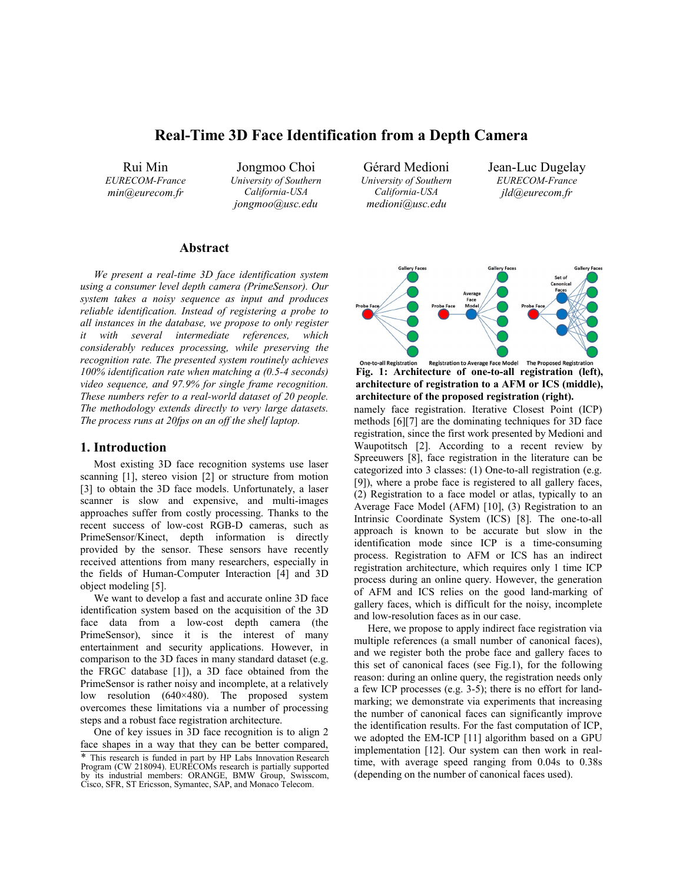# **Real-Time 3D Face Identification from a Depth Camera**

Rui Min *EURECOM-France min@eurecom.fr* 

Jongmoo Choi *University of Southern California-USA jongmoo@usc.edu* 

Gérard Medioni *University of Southern California-USA medioni@usc.edu* 

Jean-Luc Dugelay *EURECOM-France jld@eurecom.fr*



**Fig. 1: Architecture of one-to-all registration (left), architecture of registration to a AFM or ICS (middle), architecture of the proposed registration (right).**

namely face registration. Iterative Closest Point (ICP) methods [6][7] are the dominating techniques for 3D face registration, since the first work presented by Medioni and Waupotitsch [2]. According to a recent review by Spreeuwers [8], face registration in the literature can be categorized into 3 classes: (1) One-to-all registration (e.g. [9]), where a probe face is registered to all gallery faces, (2) Registration to a face model or atlas, typically to an Average Face Model (AFM) [10], (3) Registration to an Intrinsic Coordinate System (ICS) [8]. The one-to-all approach is known to be accurate but slow in the identification mode since ICP is a time-consuming process. Registration to AFM or ICS has an indirect registration architecture, which requires only 1 time ICP process during an online query. However, the generation of AFM and ICS relies on the good land-marking of gallery faces, which is difficult for the noisy, incomplete and low-resolution faces as in our case.

Here, we propose to apply indirect face registration via multiple references (a small number of canonical faces), and we register both the probe face and gallery faces to this set of canonical faces (see Fig.1), for the following reason: during an online query, the registration needs only a few ICP processes (e.g. 3-5); there is no effort for landmarking; we demonstrate via experiments that increasing the number of canonical faces can significantly improve the identification results. For the fast computation of ICP, we adopted the EM-ICP [11] algorithm based on a GPU implementation [12]. Our system can then work in realtime, with average speed ranging from 0.04s to 0.38s (depending on the number of canonical faces used).

### **Abstract**

*We present a real-time 3D face identification system using a consumer level depth camera (PrimeSensor). Our system takes a noisy sequence as input and produces reliable identification. Instead of registering a probe to all instances in the database, we propose to only register it with several intermediate references, which considerably reduces processing, while preserving the recognition rate. The presented system routinely achieves 100% identification rate when matching a (0.5-4 seconds) video sequence, and 97.9% for single frame recognition. These numbers refer to a real-world dataset of 20 people. The methodology extends directly to very large datasets. The process runs at 20fps on an off the shelf laptop.* 

# **1. Introduction**

Most existing 3D face recognition systems use laser scanning [1], stereo vision [2] or structure from motion [3] to obtain the 3D face models. Unfortunately, a laser scanner is slow and expensive, and multi-images approaches suffer from costly processing. Thanks to the recent success of low-cost RGB-D cameras, such as PrimeSensor/Kinect, depth information is directly provided by the sensor. These sensors have recently received attentions from many researchers, especially in the fields of Human-Computer Interaction [4] and 3D object modeling [5].

We want to develop a fast and accurate online 3D face identification system based on the acquisition of the 3D face data from a low-cost depth camera (the PrimeSensor), since it is the interest of many entertainment and security applications. However, in comparison to the 3D faces in many standard dataset (e.g. the FRGC database [1]), a 3D face obtained from the PrimeSensor is rather noisy and incomplete, at a relatively low resolution (640×480). The proposed system overcomes these limitations via a number of processing steps and a robust face registration architecture.

One of key issues in 3D face recognition is to align 2 face shapes in a way that they can be better compared,

<sup>\*</sup> This research is funded in part by HP Labs Innovation Research Program (CW 218094). EURECOMs research is partially supported by its industrial members: ORANGE, BMW Group, Swisscom, Cisco, SFR, ST Ericsson, Symantec, SAP, and Monaco Telecom.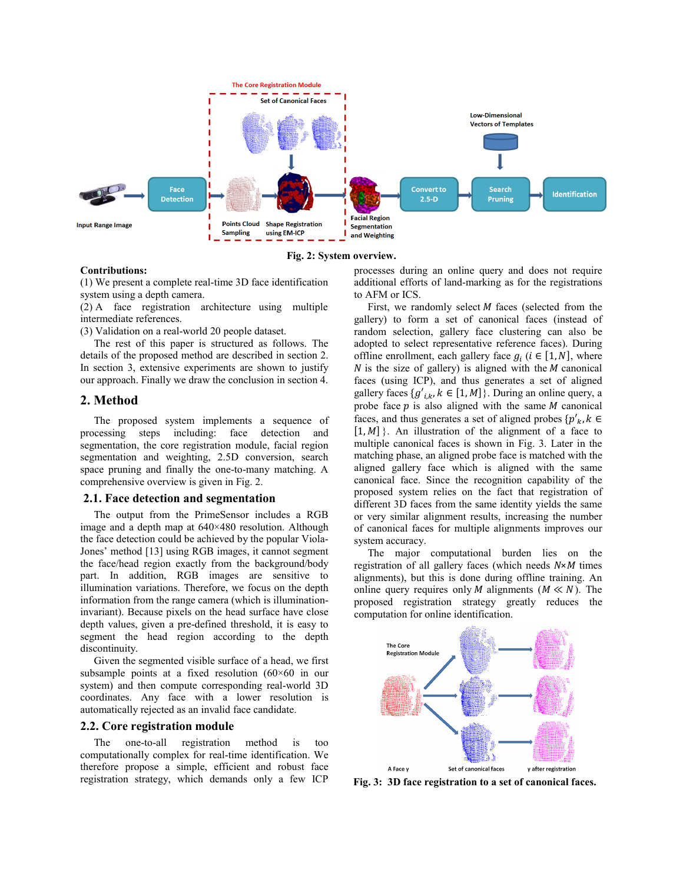

**Fig. 2: System overview.** 

#### **Contributions:**

(1) We present a complete real-time 3D face identification system using a depth camera.

(2) A face registration architecture using multiple intermediate references.

(3) Validation on a real-world 20 people dataset.

The rest of this paper is structured as follows. The details of the proposed method are described in section 2. In section 3, extensive experiments are shown to justify our approach. Finally we draw the conclusion in section 4.

### **2. Method**

The proposed system implements a sequence of processing steps including: face detection and segmentation, the core registration module, facial region segmentation and weighting, 2.5D conversion, search space pruning and finally the one-to-many matching. A comprehensive overview is given in Fig. 2.

#### **2.1. Face detection and segmentation**

The output from the PrimeSensor includes a RGB image and a depth map at 640×480 resolution. Although the face detection could be achieved by the popular Viola-Jones' method [13] using RGB images, it cannot segment the face/head region exactly from the background/body part. In addition, RGB images are sensitive to illumination variations. Therefore, we focus on the depth information from the range camera (which is illuminationinvariant). Because pixels on the head surface have close depth values, given a pre-defined threshold, it is easy to segment the head region according to the depth discontinuity.

Given the segmented visible surface of a head, we first subsample points at a fixed resolution (60×60 in our system) and then compute corresponding real-world 3D coordinates. Any face with a lower resolution is automatically rejected as an invalid face candidate.

### **2.2. Core registration module**

The one-to-all registration method is too computationally complex for real-time identification. We therefore propose a simple, efficient and robust face registration strategy, which demands only a few ICP

processes during an online query and does not require additional efforts of land-marking as for the registrations to AFM or ICS.

First, we randomly select  $M$  faces (selected from the gallery) to form a set of canonical faces (instead of random selection, gallery face clustering can also be adopted to select representative reference faces). During offline enrollment, each gallery face  $g_i$  ( $i \in [1, N]$ , where  $N$  is the size of gallery) is aligned with the  $M$  canonical faces (using ICP), and thus generates a set of aligned gallery faces  $\{g'_{ik}, k \in [1, M]\}$ . During an online query, a probe face  $p$  is also aligned with the same  $M$  canonical faces, and thus generates a set of aligned probes  ${p'_{k}}$ ,  $k \in$  $[1, M]$ . An illustration of the alignment of a face to multiple canonical faces is shown in Fig. 3. Later in the matching phase, an aligned probe face is matched with the aligned gallery face which is aligned with the same canonical face. Since the recognition capability of the proposed system relies on the fact that registration of different 3D faces from the same identity yields the same or very similar alignment results, increasing the number of canonical faces for multiple alignments improves our system accuracy.

The major computational burden lies on the registration of all gallery faces (which needs *N*×*M* times alignments), but this is done during offline training. An online query requires only *M* alignments ( $M \ll N$ ). The proposed registration strategy greatly reduces the computation for online identification.



**Fig. 3: 3D face registration to a set of canonical faces.**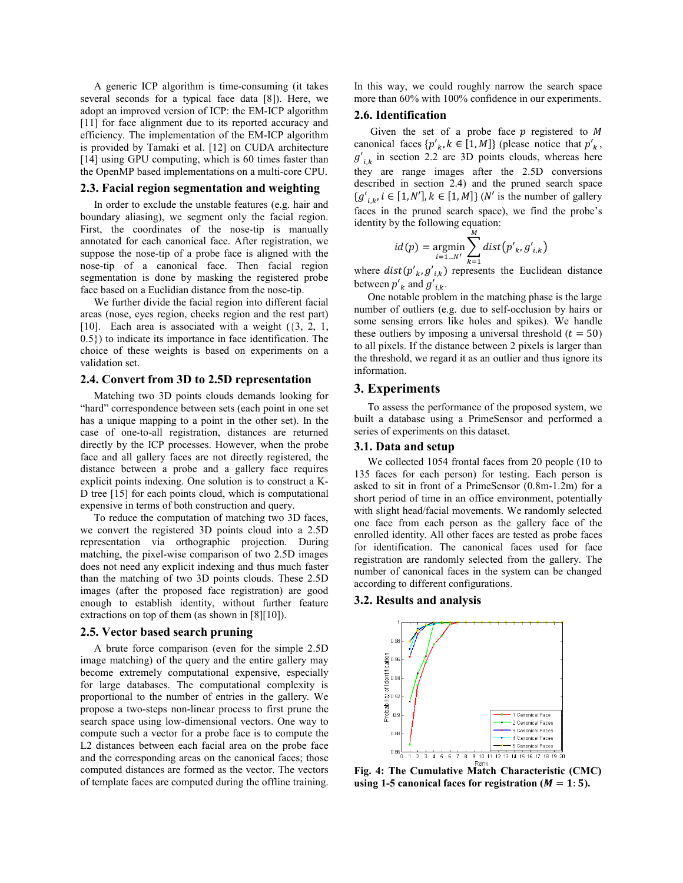A generic ICP algorithm is time-consuming (it takes several seconds for a typical face data [8]). Here, we adopt an improved version of ICP: the EM-ICP algorithm [11] for face alignment due to its reported accuracy and efficiency. The implementation of the EM-ICP algorithm is provided by Tamaki et al. [12] on CUDA architecture [14] using GPU computing, which is 60 times faster than the OpenMP based implementations on a multi-core CPU.

### **2.3. Facial region segmentation and weighting**

In order to exclude the unstable features (e.g. hair and boundary aliasing), we segment only the facial region. First, the coordinates of the nose-tip is manually annotated for each canonical face. After registration, we suppose the nose-tip of a probe face is aligned with the nose-tip of a canonical face. Then facial region segmentation is done by masking the registered probe face based on a Euclidian distance from the nose-tip.

We further divide the facial region into different facial areas (nose, eyes region, cheeks region and the rest part) [10]. Each area is associated with a weight  $(3, 2, 1, 1)$ 0.5}) to indicate its importance in face identification. The choice of these weights is based on experiments on a validation set.

# **2.4. Convert from 3D to 2.5D representation**

Matching two 3D points clouds demands looking for "hard" correspondence between sets (each point in one set has a unique mapping to a point in the other set). In the case of one-to-all registration, distances are returned directly by the ICP processes. However, when the probe face and all gallery faces are not directly registered, the distance between a probe and a gallery face requires explicit points indexing. One solution is to construct a K-D tree [15] for each points cloud, which is computational expensive in terms of both construction and query.

To reduce the computation of matching two 3D faces, we convert the registered 3D points cloud into a 2.5D representation via orthographic projection. During matching, the pixel-wise comparison of two 2.5D images does not need any explicit indexing and thus much faster than the matching of two 3D points clouds. These 2.5D images (after the proposed face registration) are good enough to establish identity, without further feature extractions on top of them (as shown in [8][10]).

#### **2.5. Vector based search pruning**

A brute force comparison (even for the simple 2.5D image matching) of the query and the entire gallery may become extremely computational expensive, especially for large databases. The computational complexity is proportional to the number of entries in the gallery. We propose a two-steps non-linear process to first prune the search space using low-dimensional vectors. One way to compute such a vector for a probe face is to compute the L2 distances between each facial area on the probe face and the corresponding areas on the canonical faces; those computed distances are formed as the vector. The vectors of template faces are computed during the offline training.

In this way, we could roughly narrow the search space more than 60% with 100% confidence in our experiments.

### **2.6. Identification**

Given the set of a probe face  $p$  registered to  $M$ canonical faces  $\{p'_{k}, k \in [1, M]\}$  (please notice that  $p'_{k}$ ,  $g'_{i,k}$  in section 2.2 are 3D points clouds, whereas here they are range images after the 2.5D conversions described in section 2.4) and the pruned search space  $\{g'_{i,k}, i \in [1, N'], k \in [1, M]\}$  (*N'* is the number of gallery faces in the pruned search space), we find the probe's identity by the following equation:

$$
id(p) = \underset{i=1...N'}{\text{argmin}} \sum_{k=1}^{n} dist(p'_{k}, g'_{i,k})
$$

where  $dist(p'_{k}, g'_{i,k})$  represents the Euclidean distance between  $p'_{k}$  and  $g'_{i,k}$ .

One notable problem in the matching phase is the large number of outliers (e.g. due to self-occlusion by hairs or some sensing errors like holes and spikes). We handle these outliers by imposing a universal threshold  $(t = 50)$ to all pixels. If the distance between 2 pixels is larger than the threshold, we regard it as an outlier and thus ignore its information.

# **3. Experiments**

To assess the performance of the proposed system, we built a database using a PrimeSensor and performed a series of experiments on this dataset.

### **3.1. Data and setup**

We collected 1054 frontal faces from 20 people (10 to 135 faces for each person) for testing. Each person is asked to sit in front of a PrimeSensor (0.8m-1.2m) for a short period of time in an office environment, potentially with slight head/facial movements. We randomly selected one face from each person as the gallery face of the enrolled identity. All other faces are tested as probe faces for identification. The canonical faces used for face registration are randomly selected from the gallery. The number of canonical faces in the system can be changed according to different configurations.

# **3.2. Results and analysis**



**Fig. 4: The Cumulative Match Characteristic (CMC)** using 1-5 canonical faces for registration  $(M = 1: 5)$ .